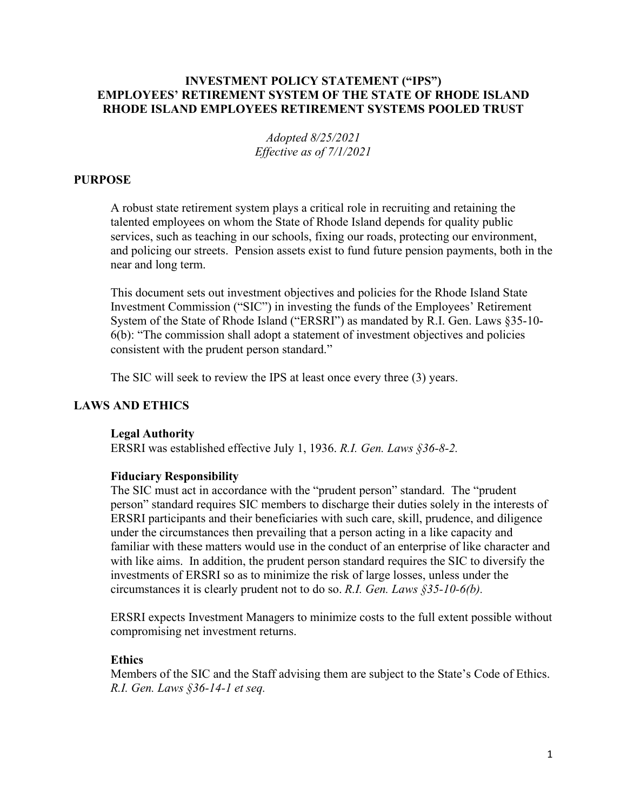# **INVESTMENT POLICY STATEMENT ("IPS") EMPLOYEES' RETIREMENT SYSTEM OF THE STATE OF RHODE ISLAND RHODE ISLAND EMPLOYEES RETIREMENT SYSTEMS POOLED TRUST**

*Adopted 8/25/2021 Effective as of 7/1/2021*

# **PURPOSE**

A robust state retirement system plays a critical role in recruiting and retaining the talented employees on whom the State of Rhode Island depends for quality public services, such as teaching in our schools, fixing our roads, protecting our environment, and policing our streets. Pension assets exist to fund future pension payments, both in the near and long term.

This document sets out investment objectives and policies for the Rhode Island State Investment Commission ("SIC") in investing the funds of the Employees' Retirement System of the State of Rhode Island ("ERSRI") as mandated by R.I. Gen. Laws §35-10- 6(b): "The commission shall adopt a statement of investment objectives and policies consistent with the prudent person standard."

The SIC will seek to review the IPS at least once every three (3) years.

#### **LAWS AND ETHICS**

#### **Legal Authority**

ERSRI was established effective July 1, 1936. *R.I. Gen. Laws §36-8-2.*

#### **Fiduciary Responsibility**

The SIC must act in accordance with the "prudent person" standard. The "prudent person" standard requires SIC members to discharge their duties solely in the interests of ERSRI participants and their beneficiaries with such care, skill, prudence, and diligence under the circumstances then prevailing that a person acting in a like capacity and familiar with these matters would use in the conduct of an enterprise of like character and with like aims. In addition, the prudent person standard requires the SIC to diversify the investments of ERSRI so as to minimize the risk of large losses, unless under the circumstances it is clearly prudent not to do so. *R.I. Gen. Laws §35-10-6(b).*

ERSRI expects Investment Managers to minimize costs to the full extent possible without compromising net investment returns.

#### **Ethics**

Members of the SIC and the Staff advising them are subject to the State's Code of Ethics. *R.I. Gen. Laws §36-14-1 et seq.*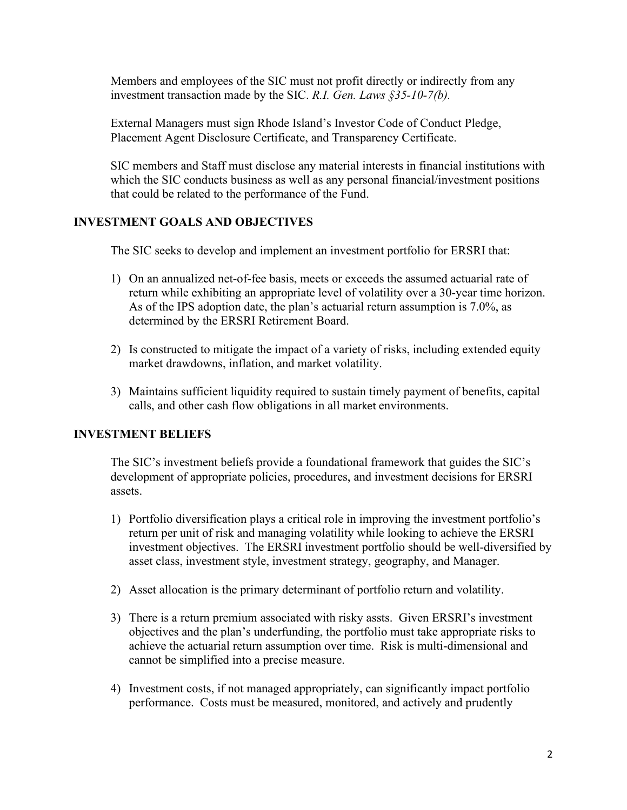Members and employees of the SIC must not profit directly or indirectly from any investment transaction made by the SIC. *R.I. Gen. Laws §35-10-7(b).*

External Managers must sign Rhode Island's Investor Code of Conduct Pledge, Placement Agent Disclosure Certificate, and Transparency Certificate.

SIC members and Staff must disclose any material interests in financial institutions with which the SIC conducts business as well as any personal financial/investment positions that could be related to the performance of the Fund.

# **INVESTMENT GOALS AND OBJECTIVES**

The SIC seeks to develop and implement an investment portfolio for ERSRI that:

- 1) On an annualized net-of-fee basis, meets or exceeds the assumed actuarial rate of return while exhibiting an appropriate level of volatility over a 30-year time horizon. As of the IPS adoption date, the plan's actuarial return assumption is 7.0%, as determined by the ERSRI Retirement Board.
- 2) Is constructed to mitigate the impact of a variety of risks, including extended equity market drawdowns, inflation, and market volatility.
- 3) Maintains sufficient liquidity required to sustain timely payment of benefits, capital calls, and other cash flow obligations in all market environments.

# **INVESTMENT BELIEFS**

The SIC's investment beliefs provide a foundational framework that guides the SIC's development of appropriate policies, procedures, and investment decisions for ERSRI assets.

- 1) Portfolio diversification plays a critical role in improving the investment portfolio's return per unit of risk and managing volatility while looking to achieve the ERSRI investment objectives. The ERSRI investment portfolio should be well-diversified by asset class, investment style, investment strategy, geography, and Manager.
- 2) Asset allocation is the primary determinant of portfolio return and volatility.
- 3) There is a return premium associated with risky assts. Given ERSRI's investment objectives and the plan's underfunding, the portfolio must take appropriate risks to achieve the actuarial return assumption over time. Risk is multi-dimensional and cannot be simplified into a precise measure.
- 4) Investment costs, if not managed appropriately, can significantly impact portfolio performance. Costs must be measured, monitored, and actively and prudently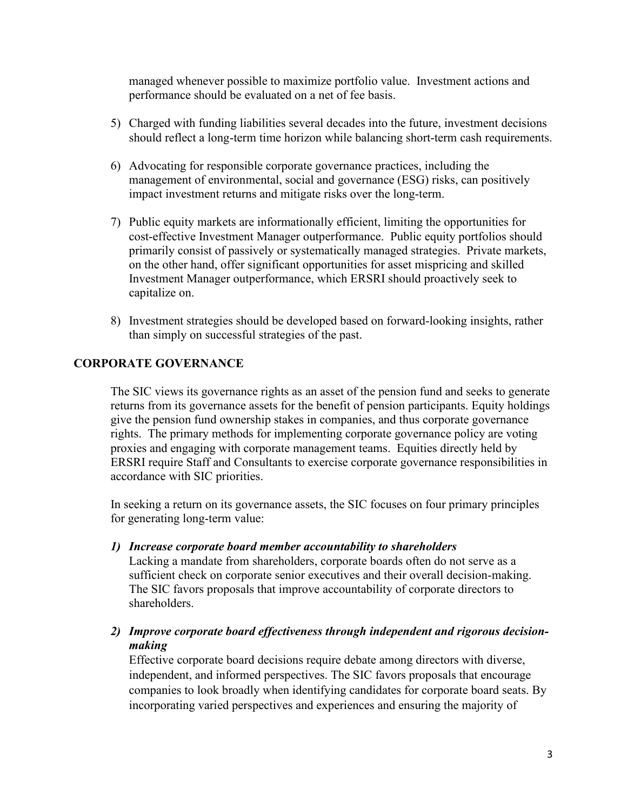managed whenever possible to maximize portfolio value. Investment actions and performance should be evaluated on a net of fee basis.

- 5) Charged with funding liabilities several decades into the future, investment decisions should reflect a long-term time horizon while balancing short-term cash requirements.
- 6) Advocating for responsible corporate governance practices, including the management of environmental, social and governance (ESG) risks, can positively impact investment returns and mitigate risks over the long-term.
- 7) Public equity markets are informationally efficient, limiting the opportunities for cost-effective Investment Manager outperformance. Public equity portfolios should primarily consist of passively or systematically managed strategies. Private markets, on the other hand, offer significant opportunities for asset mispricing and skilled Investment Manager outperformance, which ERSRI should proactively seek to capitalize on.
- 8) Investment strategies should be developed based on forward-looking insights, rather than simply on successful strategies of the past.

# **CORPORATE GOVERNANCE**

The SIC views its governance rights as an asset of the pension fund and seeks to generate returns from its governance assets for the benefit of pension participants. Equity holdings give the pension fund ownership stakes in companies, and thus corporate governance rights. The primary methods for implementing corporate governance policy are voting proxies and engaging with corporate management teams. Equities directly held by ERSRI require Staff and Consultants to exercise corporate governance responsibilities in accordance with SIC priorities.

In seeking a return on its governance assets, the SIC focuses on four primary principles for generating long-term value:

- *1) Increase corporate board member accountability to shareholders* Lacking a mandate from shareholders, corporate boards often do not serve as a sufficient check on corporate senior executives and their overall decision-making. The SIC favors proposals that improve accountability of corporate directors to shareholders.
- *2) Improve corporate board effectiveness through independent and rigorous decisionmaking*

Effective corporate board decisions require debate among directors with diverse, independent, and informed perspectives. The SIC favors proposals that encourage companies to look broadly when identifying candidates for corporate board seats. By incorporating varied perspectives and experiences and ensuring the majority of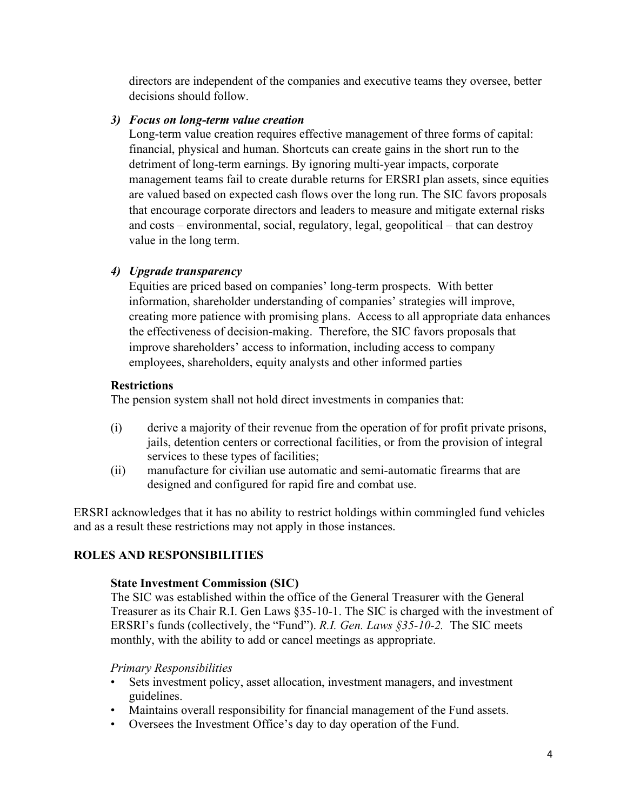directors are independent of the companies and executive teams they oversee, better decisions should follow.

# *3) Focus on long-term value creation*

Long-term value creation requires effective management of three forms of capital: financial, physical and human. Shortcuts can create gains in the short run to the detriment of long-term earnings. By ignoring multi-year impacts, corporate management teams fail to create durable returns for ERSRI plan assets, since equities are valued based on expected cash flows over the long run. The SIC favors proposals that encourage corporate directors and leaders to measure and mitigate external risks and costs – environmental, social, regulatory, legal, geopolitical – that can destroy value in the long term.

# *4) Upgrade transparency*

Equities are priced based on companies' long-term prospects. With better information, shareholder understanding of companies' strategies will improve, creating more patience with promising plans. Access to all appropriate data enhances the effectiveness of decision-making. Therefore, the SIC favors proposals that improve shareholders' access to information, including access to company employees, shareholders, equity analysts and other informed parties

# **Restrictions**

The pension system shall not hold direct investments in companies that:

- (i) derive a majority of their revenue from the operation of for profit private prisons, jails, detention centers or correctional facilities, or from the provision of integral services to these types of facilities;
- (ii) manufacture for civilian use automatic and semi-automatic firearms that are designed and configured for rapid fire and combat use.

ERSRI acknowledges that it has no ability to restrict holdings within commingled fund vehicles and as a result these restrictions may not apply in those instances.

# **ROLES AND RESPONSIBILITIES**

# **State Investment Commission (SIC)**

The SIC was established within the office of the General Treasurer with the General Treasurer as its Chair R.I. Gen Laws §35-10-1. The SIC is charged with the investment of ERSRI's funds (collectively, the "Fund"). *R.I. Gen. Laws §35-10-2.* The SIC meets monthly, with the ability to add or cancel meetings as appropriate.

# *Primary Responsibilities*

- Sets investment policy, asset allocation, investment managers, and investment guidelines.
- Maintains overall responsibility for financial management of the Fund assets.
- Oversees the Investment Office's day to day operation of the Fund.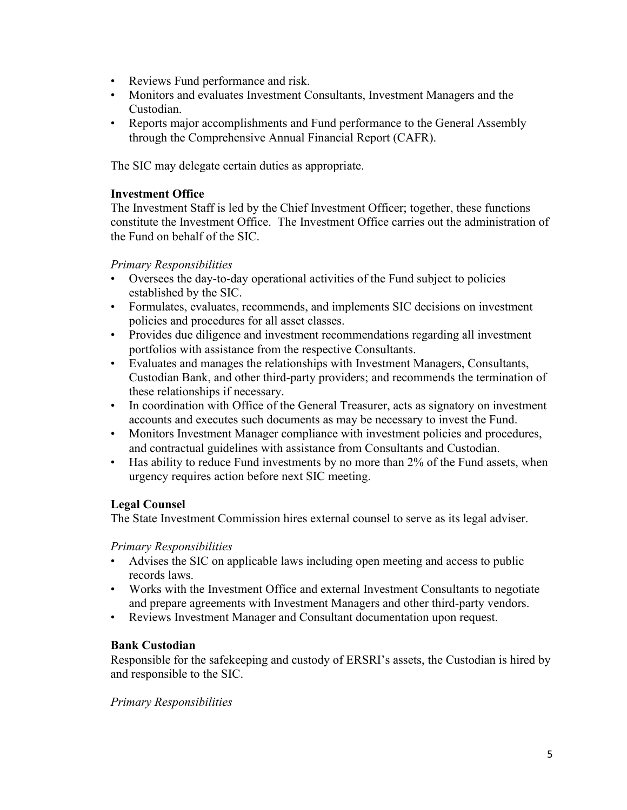- Reviews Fund performance and risk.
- Monitors and evaluates Investment Consultants, Investment Managers and the Custodian.
- Reports major accomplishments and Fund performance to the General Assembly through the Comprehensive Annual Financial Report (CAFR).

The SIC may delegate certain duties as appropriate.

### **Investment Office**

The Investment Staff is led by the Chief Investment Officer; together, these functions constitute the Investment Office. The Investment Office carries out the administration of the Fund on behalf of the SIC.

# *Primary Responsibilities*

- Oversees the day-to-day operational activities of the Fund subject to policies established by the SIC.
- Formulates, evaluates, recommends, and implements SIC decisions on investment policies and procedures for all asset classes.
- Provides due diligence and investment recommendations regarding all investment portfolios with assistance from the respective Consultants.
- Evaluates and manages the relationships with Investment Managers, Consultants, Custodian Bank, and other third-party providers; and recommends the termination of these relationships if necessary.
- In coordination with Office of the General Treasurer, acts as signatory on investment accounts and executes such documents as may be necessary to invest the Fund.
- Monitors Investment Manager compliance with investment policies and procedures, and contractual guidelines with assistance from Consultants and Custodian.
- Has ability to reduce Fund investments by no more than 2% of the Fund assets, when urgency requires action before next SIC meeting.

# **Legal Counsel**

The State Investment Commission hires external counsel to serve as its legal adviser.

#### *Primary Responsibilities*

- Advises the SIC on applicable laws including open meeting and access to public records laws.
- Works with the Investment Office and external Investment Consultants to negotiate and prepare agreements with Investment Managers and other third-party vendors.
- Reviews Investment Manager and Consultant documentation upon request.

#### **Bank Custodian**

Responsible for the safekeeping and custody of ERSRI's assets, the Custodian is hired by and responsible to the SIC.

# *Primary Responsibilities*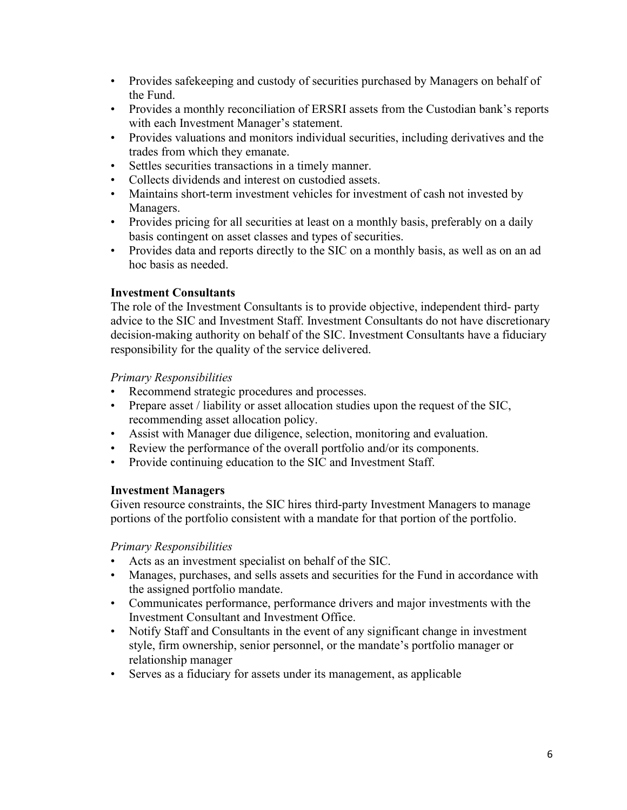- Provides safekeeping and custody of securities purchased by Managers on behalf of the Fund.
- Provides a monthly reconciliation of ERSRI assets from the Custodian bank's reports with each Investment Manager's statement.
- Provides valuations and monitors individual securities, including derivatives and the trades from which they emanate.
- Settles securities transactions in a timely manner.
- Collects dividends and interest on custodied assets.
- Maintains short-term investment vehicles for investment of cash not invested by Managers.
- Provides pricing for all securities at least on a monthly basis, preferably on a daily basis contingent on asset classes and types of securities.
- Provides data and reports directly to the SIC on a monthly basis, as well as on an ad hoc basis as needed.

# **Investment Consultants**

The role of the Investment Consultants is to provide objective, independent third- party advice to the SIC and Investment Staff. Investment Consultants do not have discretionary decision-making authority on behalf of the SIC. Investment Consultants have a fiduciary responsibility for the quality of the service delivered.

# *Primary Responsibilities*

- Recommend strategic procedures and processes.
- Prepare asset / liability or asset allocation studies upon the request of the SIC, recommending asset allocation policy.
- Assist with Manager due diligence, selection, monitoring and evaluation.
- Review the performance of the overall portfolio and/or its components.
- Provide continuing education to the SIC and Investment Staff.

# **Investment Managers**

Given resource constraints, the SIC hires third-party Investment Managers to manage portions of the portfolio consistent with a mandate for that portion of the portfolio.

# *Primary Responsibilities*

- Acts as an investment specialist on behalf of the SIC.
- Manages, purchases, and sells assets and securities for the Fund in accordance with the assigned portfolio mandate.
- Communicates performance, performance drivers and major investments with the Investment Consultant and Investment Office.
- Notify Staff and Consultants in the event of any significant change in investment style, firm ownership, senior personnel, or the mandate's portfolio manager or relationship manager
- Serves as a fiduciary for assets under its management, as applicable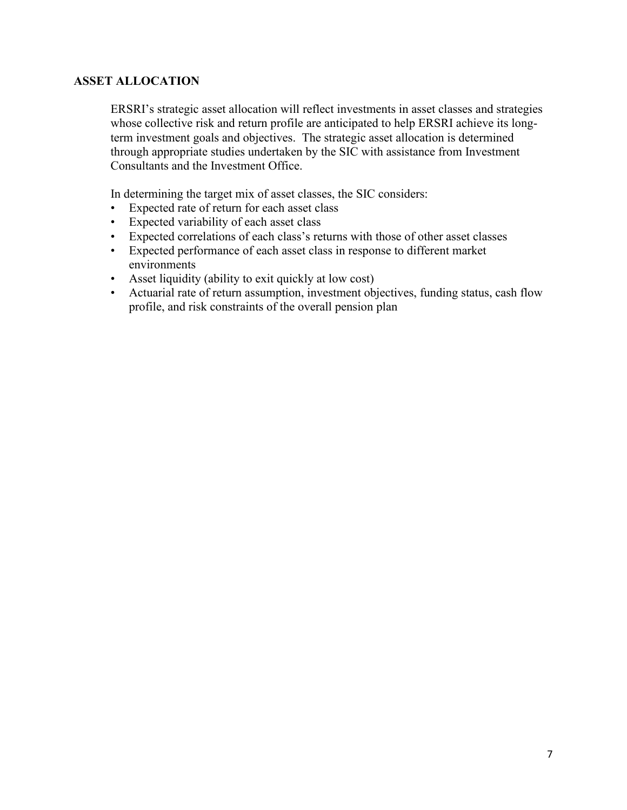# **ASSET ALLOCATION**

ERSRI's strategic asset allocation will reflect investments in asset classes and strategies whose collective risk and return profile are anticipated to help ERSRI achieve its longterm investment goals and objectives. The strategic asset allocation is determined through appropriate studies undertaken by the SIC with assistance from Investment Consultants and the Investment Office.

In determining the target mix of asset classes, the SIC considers:

- Expected rate of return for each asset class
- Expected variability of each asset class
- Expected correlations of each class's returns with those of other asset classes
- Expected performance of each asset class in response to different market environments
- Asset liquidity (ability to exit quickly at low cost)
- Actuarial rate of return assumption, investment objectives, funding status, cash flow profile, and risk constraints of the overall pension plan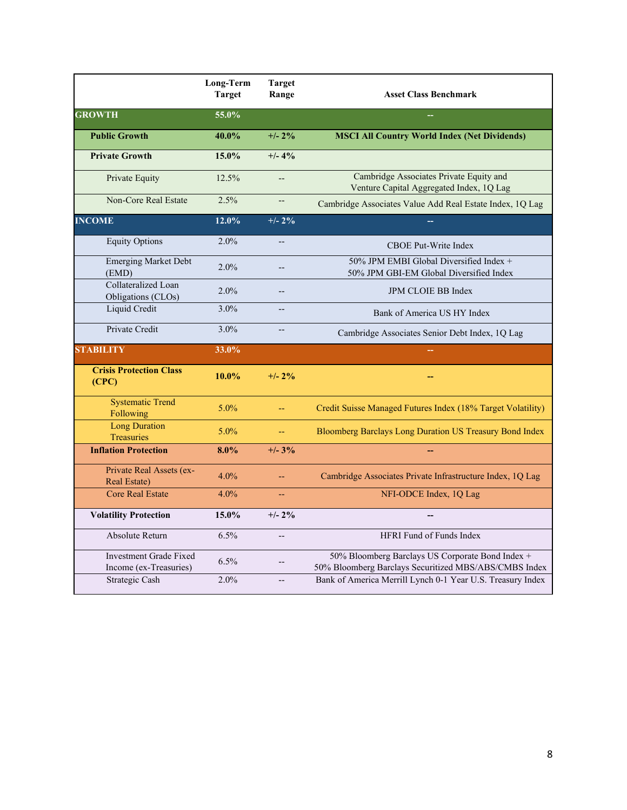|                                                         | Long-Term<br><b>Target</b> | <b>Target</b><br>Range   | <b>Asset Class Benchmark</b>                                                                              |
|---------------------------------------------------------|----------------------------|--------------------------|-----------------------------------------------------------------------------------------------------------|
| <b>GROWTH</b>                                           | 55.0%                      |                          |                                                                                                           |
| <b>Public Growth</b>                                    | 40.0%                      | $+/- 2\%$                | <b>MSCI All Country World Index (Net Dividends)</b>                                                       |
| <b>Private Growth</b>                                   | $15.0\%$                   | $+/- 4%$                 |                                                                                                           |
| Private Equity                                          | 12.5%                      | $\overline{\phantom{a}}$ | Cambridge Associates Private Equity and<br>Venture Capital Aggregated Index, 1Q Lag                       |
| <b>Non-Core Real Estate</b>                             | 2.5%                       | $\qquad \qquad -$        | Cambridge Associates Value Add Real Estate Index, 1Q Lag                                                  |
| <b>INCOME</b>                                           | 12.0%                      | $+/- 2\%$                |                                                                                                           |
| <b>Equity Options</b>                                   | 2.0%                       | $-$                      | <b>CBOE Put-Write Index</b>                                                                               |
| <b>Emerging Market Debt</b><br>(EMD)                    | 2.0%                       | $-$                      | 50% JPM EMBI Global Diversified Index +<br>50% JPM GBI-EM Global Diversified Index                        |
| Collateralized Loan<br>Obligations (CLOs)               | 2.0%                       | $\overline{a}$           | <b>JPM CLOIE BB Index</b>                                                                                 |
| Liquid Credit                                           | 3.0%                       | $\overline{\phantom{a}}$ | Bank of America US HY Index                                                                               |
| Private Credit                                          | 3.0%                       | $\overline{a}$           | Cambridge Associates Senior Debt Index, 1Q Lag                                                            |
| <b>STABILITY</b>                                        | 33.0%                      |                          |                                                                                                           |
| <b>Crisis Protection Class</b><br>(CPC)                 | 10.0%                      | $+/- 2\%$                |                                                                                                           |
| <b>Systematic Trend</b><br>Following                    | 5.0%                       | 44                       | Credit Suisse Managed Futures Index (18% Target Volatility)                                               |
| <b>Long Duration</b><br>Treasuries                      | 5.0%                       |                          | <b>Bloomberg Barclays Long Duration US Treasury Bond Index</b>                                            |
| <b>Inflation Protection</b>                             | $8.0\%$                    | $+/- 3\%$                |                                                                                                           |
| Private Real Assets (ex-<br>Real Estate)                | 4.0%                       | $-$                      | Cambridge Associates Private Infrastructure Index, 1Q Lag                                                 |
| <b>Core Real Estate</b>                                 | 4.0%                       | 44                       | NFI-ODCE Index, 1Q Lag                                                                                    |
| <b>Volatility Protection</b>                            | 15.0%                      | $+/- 2\%$                |                                                                                                           |
| Absolute Return                                         | 6.5%                       | $\overline{a}$           | HFRI Fund of Funds Index                                                                                  |
| <b>Investment Grade Fixed</b><br>Income (ex-Treasuries) | 6.5%                       | --                       | 50% Bloomberg Barclays US Corporate Bond Index +<br>50% Bloomberg Barclays Securitized MBS/ABS/CMBS Index |
| Strategic Cash                                          | 2.0%                       | $-$                      | Bank of America Merrill Lynch 0-1 Year U.S. Treasury Index                                                |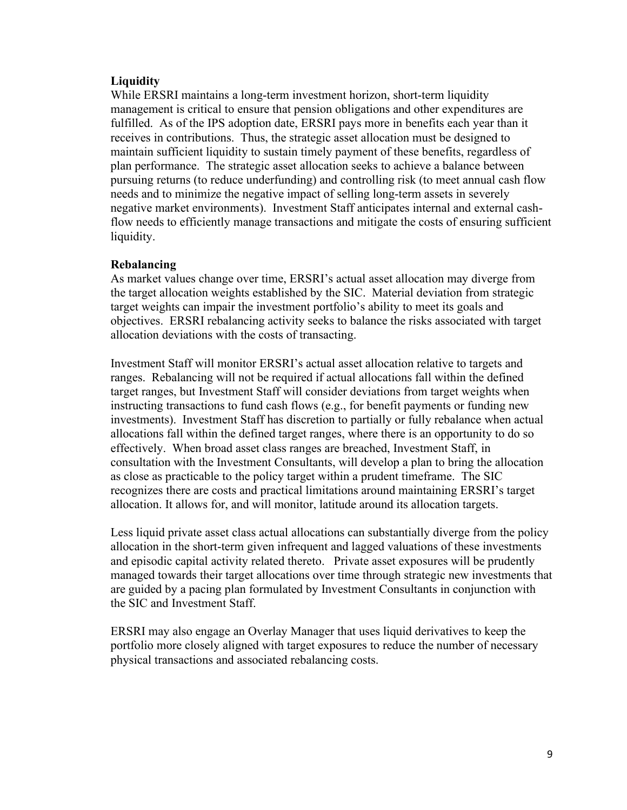# **Liquidity**

While ERSRI maintains a long-term investment horizon, short-term liquidity management is critical to ensure that pension obligations and other expenditures are fulfilled. As of the IPS adoption date, ERSRI pays more in benefits each year than it receives in contributions. Thus, the strategic asset allocation must be designed to maintain sufficient liquidity to sustain timely payment of these benefits, regardless of plan performance. The strategic asset allocation seeks to achieve a balance between pursuing returns (to reduce underfunding) and controlling risk (to meet annual cash flow needs and to minimize the negative impact of selling long-term assets in severely negative market environments). Investment Staff anticipates internal and external cashflow needs to efficiently manage transactions and mitigate the costs of ensuring sufficient liquidity.

# **Rebalancing**

As market values change over time, ERSRI's actual asset allocation may diverge from the target allocation weights established by the SIC. Material deviation from strategic target weights can impair the investment portfolio's ability to meet its goals and objectives. ERSRI rebalancing activity seeks to balance the risks associated with target allocation deviations with the costs of transacting.

Investment Staff will monitor ERSRI's actual asset allocation relative to targets and ranges. Rebalancing will not be required if actual allocations fall within the defined target ranges, but Investment Staff will consider deviations from target weights when instructing transactions to fund cash flows (e.g., for benefit payments or funding new investments). Investment Staff has discretion to partially or fully rebalance when actual allocations fall within the defined target ranges, where there is an opportunity to do so effectively. When broad asset class ranges are breached, Investment Staff, in consultation with the Investment Consultants, will develop a plan to bring the allocation as close as practicable to the policy target within a prudent timeframe. The SIC recognizes there are costs and practical limitations around maintaining ERSRI's target allocation. It allows for, and will monitor, latitude around its allocation targets.

Less liquid private asset class actual allocations can substantially diverge from the policy allocation in the short-term given infrequent and lagged valuations of these investments and episodic capital activity related thereto. Private asset exposures will be prudently managed towards their target allocations over time through strategic new investments that are guided by a pacing plan formulated by Investment Consultants in conjunction with the SIC and Investment Staff.

ERSRI may also engage an Overlay Manager that uses liquid derivatives to keep the portfolio more closely aligned with target exposures to reduce the number of necessary physical transactions and associated rebalancing costs.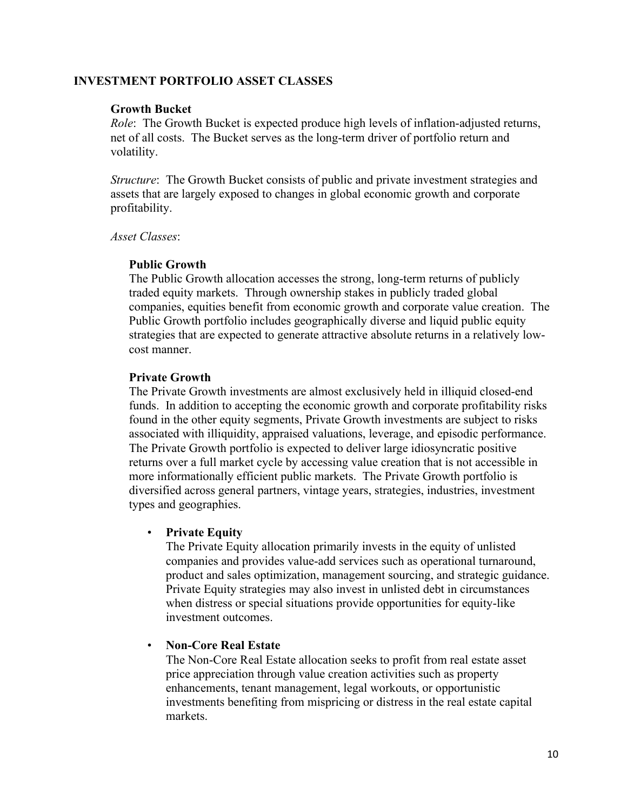### **INVESTMENT PORTFOLIO ASSET CLASSES**

#### **Growth Bucket**

*Role*: The Growth Bucket is expected produce high levels of inflation-adjusted returns, net of all costs. The Bucket serves as the long-term driver of portfolio return and volatility.

*Structure*: The Growth Bucket consists of public and private investment strategies and assets that are largely exposed to changes in global economic growth and corporate profitability.

*Asset Classes*:

# **Public Growth**

The Public Growth allocation accesses the strong, long-term returns of publicly traded equity markets. Through ownership stakes in publicly traded global companies, equities benefit from economic growth and corporate value creation. The Public Growth portfolio includes geographically diverse and liquid public equity strategies that are expected to generate attractive absolute returns in a relatively lowcost manner.

# **Private Growth**

The Private Growth investments are almost exclusively held in illiquid closed-end funds. In addition to accepting the economic growth and corporate profitability risks found in the other equity segments, Private Growth investments are subject to risks associated with illiquidity, appraised valuations, leverage, and episodic performance. The Private Growth portfolio is expected to deliver large idiosyncratic positive returns over a full market cycle by accessing value creation that is not accessible in more informationally efficient public markets. The Private Growth portfolio is diversified across general partners, vintage years, strategies, industries, investment types and geographies.

#### • **Private Equity**

The Private Equity allocation primarily invests in the equity of unlisted companies and provides value-add services such as operational turnaround, product and sales optimization, management sourcing, and strategic guidance. Private Equity strategies may also invest in unlisted debt in circumstances when distress or special situations provide opportunities for equity-like investment outcomes.

#### • **Non-Core Real Estate**

The Non-Core Real Estate allocation seeks to profit from real estate asset price appreciation through value creation activities such as property enhancements, tenant management, legal workouts, or opportunistic investments benefiting from mispricing or distress in the real estate capital markets.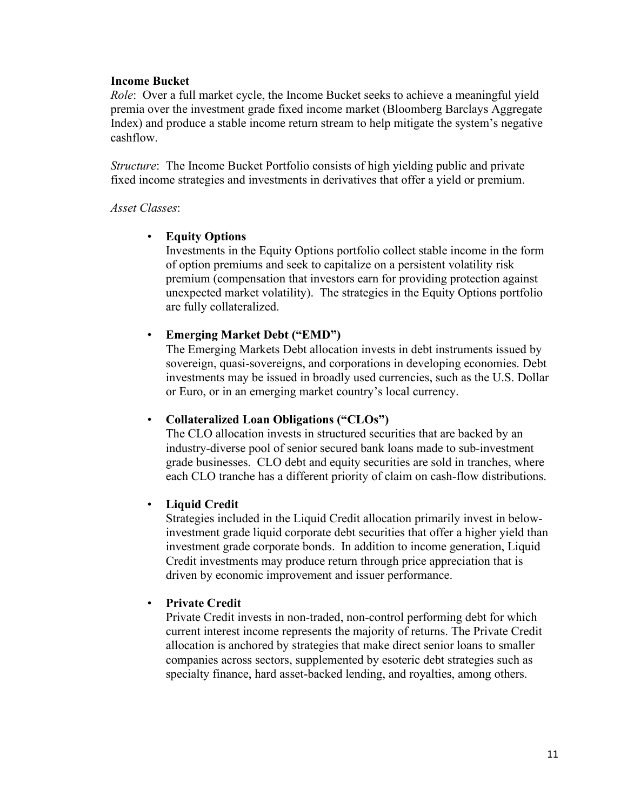### **Income Bucket**

*Role*: Over a full market cycle, the Income Bucket seeks to achieve a meaningful yield premia over the investment grade fixed income market (Bloomberg Barclays Aggregate Index) and produce a stable income return stream to help mitigate the system's negative cashflow.

*Structure*: The Income Bucket Portfolio consists of high yielding public and private fixed income strategies and investments in derivatives that offer a yield or premium.

### *Asset Classes*:

# • **Equity Options**

Investments in the Equity Options portfolio collect stable income in the form of option premiums and seek to capitalize on a persistent volatility risk premium (compensation that investors earn for providing protection against unexpected market volatility). The strategies in the Equity Options portfolio are fully collateralized.

# • **Emerging Market Debt ("EMD")**

The Emerging Markets Debt allocation invests in debt instruments issued by sovereign, quasi-sovereigns, and corporations in developing economies. Debt investments may be issued in broadly used currencies, such as the U.S. Dollar or Euro, or in an emerging market country's local currency.

# • **Collateralized Loan Obligations ("CLOs")**

The CLO allocation invests in structured securities that are backed by an industry-diverse pool of senior secured bank loans made to sub-investment grade businesses. CLO debt and equity securities are sold in tranches, where each CLO tranche has a different priority of claim on cash-flow distributions.

# • **Liquid Credit**

Strategies included in the Liquid Credit allocation primarily invest in belowinvestment grade liquid corporate debt securities that offer a higher yield than investment grade corporate bonds. In addition to income generation, Liquid Credit investments may produce return through price appreciation that is driven by economic improvement and issuer performance.

# • **Private Credit**

Private Credit invests in non-traded, non-control performing debt for which current interest income represents the majority of returns. The Private Credit allocation is anchored by strategies that make direct senior loans to smaller companies across sectors, supplemented by esoteric debt strategies such as specialty finance, hard asset-backed lending, and royalties, among others.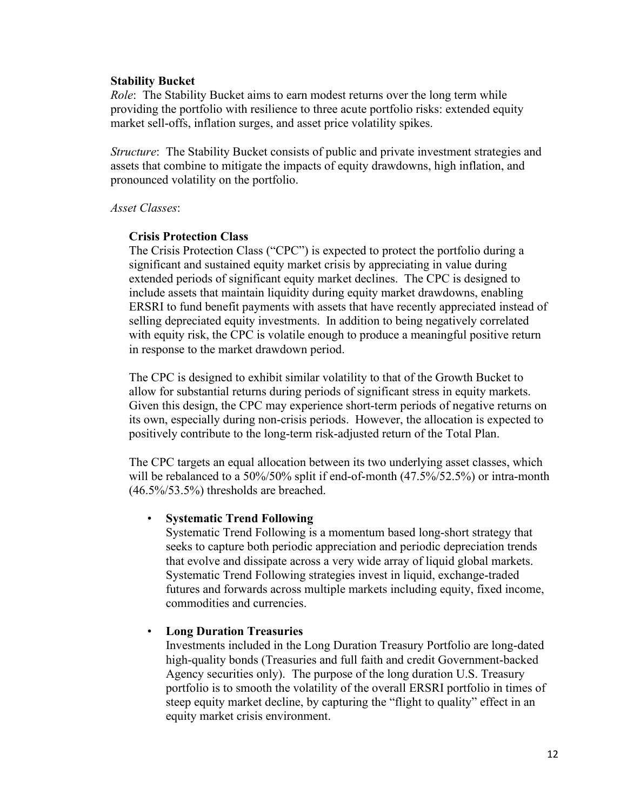### **Stability Bucket**

*Role*: The Stability Bucket aims to earn modest returns over the long term while providing the portfolio with resilience to three acute portfolio risks: extended equity market sell-offs, inflation surges, and asset price volatility spikes.

*Structure*: The Stability Bucket consists of public and private investment strategies and assets that combine to mitigate the impacts of equity drawdowns, high inflation, and pronounced volatility on the portfolio.

### *Asset Classes*:

# **Crisis Protection Class**

The Crisis Protection Class ("CPC") is expected to protect the portfolio during a significant and sustained equity market crisis by appreciating in value during extended periods of significant equity market declines. The CPC is designed to include assets that maintain liquidity during equity market drawdowns, enabling ERSRI to fund benefit payments with assets that have recently appreciated instead of selling depreciated equity investments. In addition to being negatively correlated with equity risk, the CPC is volatile enough to produce a meaningful positive return in response to the market drawdown period.

The CPC is designed to exhibit similar volatility to that of the Growth Bucket to allow for substantial returns during periods of significant stress in equity markets. Given this design, the CPC may experience short-term periods of negative returns on its own, especially during non-crisis periods. However, the allocation is expected to positively contribute to the long-term risk-adjusted return of the Total Plan.

The CPC targets an equal allocation between its two underlying asset classes, which will be rebalanced to a 50%/50% split if end-of-month (47.5%/52.5%) or intra-month (46.5%/53.5%) thresholds are breached.

# • **Systematic Trend Following**

Systematic Trend Following is a momentum based long-short strategy that seeks to capture both periodic appreciation and periodic depreciation trends that evolve and dissipate across a very wide array of liquid global markets. Systematic Trend Following strategies invest in liquid, exchange-traded futures and forwards across multiple markets including equity, fixed income, commodities and currencies.

# • **Long Duration Treasuries**

Investments included in the Long Duration Treasury Portfolio are long-dated high-quality bonds (Treasuries and full faith and credit Government-backed Agency securities only). The purpose of the long duration U.S. Treasury portfolio is to smooth the volatility of the overall ERSRI portfolio in times of steep equity market decline, by capturing the "flight to quality" effect in an equity market crisis environment.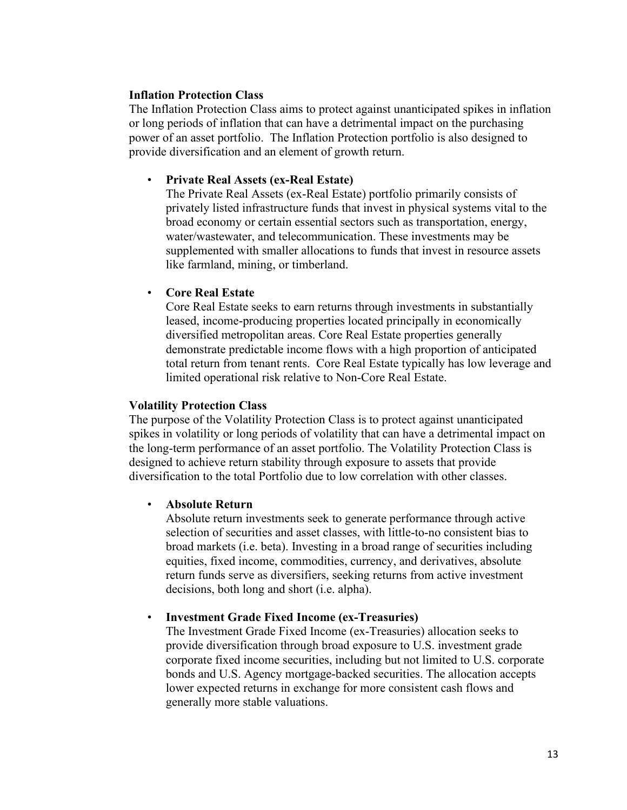### **Inflation Protection Class**

The Inflation Protection Class aims to protect against unanticipated spikes in inflation or long periods of inflation that can have a detrimental impact on the purchasing power of an asset portfolio. The Inflation Protection portfolio is also designed to provide diversification and an element of growth return.

### • **Private Real Assets (ex-Real Estate)**

The Private Real Assets (ex-Real Estate) portfolio primarily consists of privately listed infrastructure funds that invest in physical systems vital to the broad economy or certain essential sectors such as transportation, energy, water/wastewater, and telecommunication. These investments may be supplemented with smaller allocations to funds that invest in resource assets like farmland, mining, or timberland.

# • **Core Real Estate**

Core Real Estate seeks to earn returns through investments in substantially leased, income-producing properties located principally in economically diversified metropolitan areas. Core Real Estate properties generally demonstrate predictable income flows with a high proportion of anticipated total return from tenant rents. Core Real Estate typically has low leverage and limited operational risk relative to Non-Core Real Estate.

#### **Volatility Protection Class**

The purpose of the Volatility Protection Class is to protect against unanticipated spikes in volatility or long periods of volatility that can have a detrimental impact on the long-term performance of an asset portfolio. The Volatility Protection Class is designed to achieve return stability through exposure to assets that provide diversification to the total Portfolio due to low correlation with other classes.

#### • **Absolute Return**

Absolute return investments seek to generate performance through active selection of securities and asset classes, with little-to-no consistent bias to broad markets (i.e. beta). Investing in a broad range of securities including equities, fixed income, commodities, currency, and derivatives, absolute return funds serve as diversifiers, seeking returns from active investment decisions, both long and short (i.e. alpha).

#### • **Investment Grade Fixed Income (ex-Treasuries)**

The Investment Grade Fixed Income (ex-Treasuries) allocation seeks to provide diversification through broad exposure to U.S. investment grade corporate fixed income securities, including but not limited to U.S. corporate bonds and U.S. Agency mortgage-backed securities. The allocation accepts lower expected returns in exchange for more consistent cash flows and generally more stable valuations.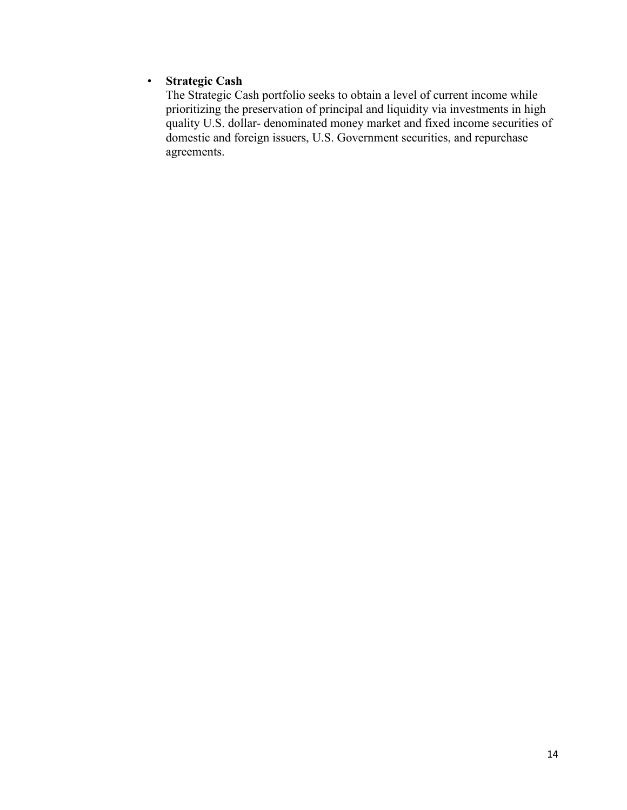# • **Strategic Cash**

The Strategic Cash portfolio seeks to obtain a level of current income while prioritizing the preservation of principal and liquidity via investments in high quality U.S. dollar- denominated money market and fixed income securities of domestic and foreign issuers, U.S. Government securities, and repurchase agreements.